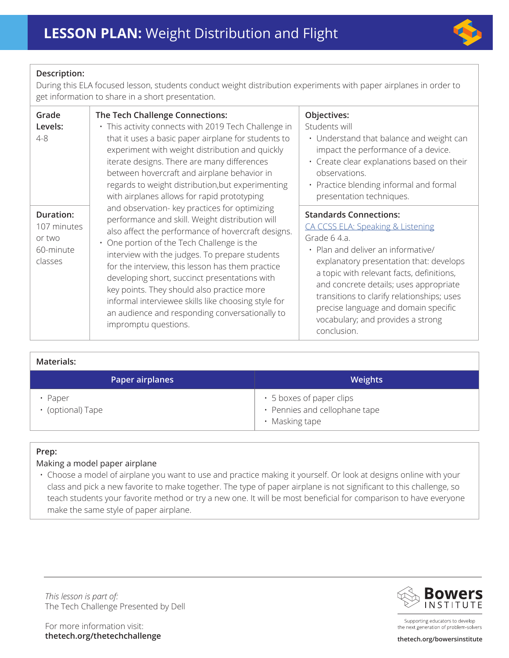

# **Description:**

During this ELA focused lesson, students conduct weight distribution experiments with paper airplanes in order to get information to share in a short presentation.

| Grade                                                      | The Tech Challenge Connections:                                                                                                                                                                                                                                                                                                                                                                                                                                                                                                                                                                                                                                                                                                                                                                                                                                                                                | Objectives:                                                                                                                                                                                                                                                                                                                                                                                                     |
|------------------------------------------------------------|----------------------------------------------------------------------------------------------------------------------------------------------------------------------------------------------------------------------------------------------------------------------------------------------------------------------------------------------------------------------------------------------------------------------------------------------------------------------------------------------------------------------------------------------------------------------------------------------------------------------------------------------------------------------------------------------------------------------------------------------------------------------------------------------------------------------------------------------------------------------------------------------------------------|-----------------------------------------------------------------------------------------------------------------------------------------------------------------------------------------------------------------------------------------------------------------------------------------------------------------------------------------------------------------------------------------------------------------|
| Levels:<br>$4 - 8$                                         | · This activity connects with 2019 Tech Challenge in<br>that it uses a basic paper airplane for students to<br>experiment with weight distribution and quickly<br>iterate designs. There are many differences<br>between hovercraft and airplane behavior in<br>regards to weight distribution, but experimenting<br>with airplanes allows for rapid prototyping<br>and observation- key practices for optimizing<br>performance and skill. Weight distribution will<br>also affect the performance of hovercraft designs.<br>• One portion of the Tech Challenge is the<br>interview with the judges. To prepare students<br>for the interview, this lesson has them practice<br>developing short, succinct presentations with<br>key points. They should also practice more<br>informal interviewee skills like choosing style for<br>an audience and responding conversationally to<br>impromptu questions. | Students will<br>• Understand that balance and weight can<br>impact the performance of a device.<br>· Create clear explanations based on their<br>observations.<br>• Practice blending informal and formal<br>presentation techniques.                                                                                                                                                                          |
| Duration:<br>107 minutes<br>or two<br>60-minute<br>classes |                                                                                                                                                                                                                                                                                                                                                                                                                                                                                                                                                                                                                                                                                                                                                                                                                                                                                                                | <b>Standards Connections:</b><br><b>CA CCSS ELA: Speaking &amp; Listening</b><br>Grade 6 4.a.<br>• Plan and deliver an informative/<br>explanatory presentation that: develops<br>a topic with relevant facts, definitions,<br>and concrete details; uses appropriate<br>transitions to clarify relationships; uses<br>precise language and domain specific<br>vocabulary; and provides a strong<br>conclusion. |

## **Materials:**

| Paper airplanes            | <b>Weights</b>                                                              |
|----------------------------|-----------------------------------------------------------------------------|
| Paper<br>• (optional) Tape | • 5 boxes of paper clips<br>• Pennies and cellophane tape<br>• Masking tape |

# **Prep:**

## Making a model paper airplane

• Choose a model of airplane you want to use and practice making it yourself. Or look at designs online with your class and pick a new favorite to make together. The type of paper airplane is not significant to this challenge, so teach students your favorite method or try a new one. It will be most beneficial for comparison to have everyone make the same style of paper airplane.

*This lesson is part of:*  The Tech Challenge Presented by Dell

For more information visit: **thetech.org/thetechchallenge thetech.org/bowersinstitute** 



Supporting educators to develop the next generation of problem-solvers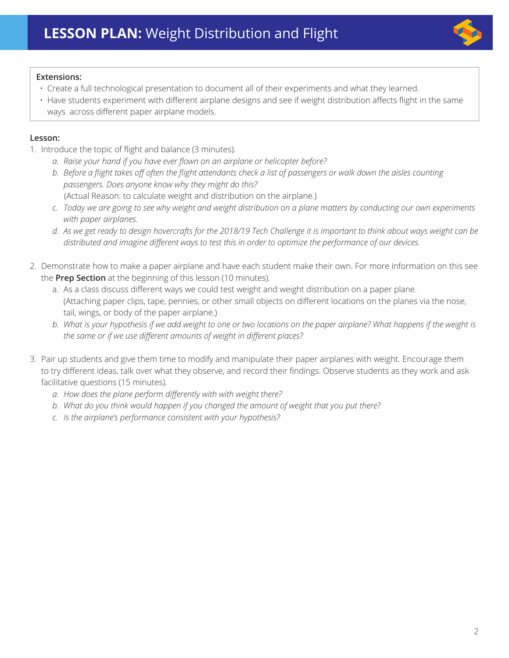

## **Extensions:**

- Create a full technological presentation to document all of their experiments and what they learned.
- Have students experiment with different airplane designs and see if weight distribution affects flight in the same ways across different paper airplane models.

# **Lesson:**

- 1. Introduce the topic of flight and balance (3 minutes).
	- *a. Raise your hand if you have ever flown on an airplane or helicopter before?*
	- *b. Before a flight takes off often the flight attendants check a list of passengers or walk down the aisles counting passengers. Does anyone know why they might do this?* (Actual Reason: to calculate weight and distribution on the airplane.)
	- *c. Today we are going to see why weight and weight distribution on a plane matters by conducting our own experiments with paper airplanes.*
	- *d. As we get ready to design hovercrafts for the 2018/19 Tech Challenge it is important to think about ways weight can be distributed and imagine different ways to test this in order to optimize the performance of our devices.*
- 2. Demonstrate how to make a paper airplane and have each student make their own. For more information on this see the **Prep Section** at the beginning of this lesson (10 minutes).
	- a. As a class discuss different ways we could test weight and weight distribution on a paper plane. (Attaching paper clips, tape, pennies, or other small objects on different locations on the planes via the nose, tail, wings, or body of the paper airplane.)
	- *b. What is your hypothesis if we add weight to one or two locations on the paper airplane? What happens if the weight is the same or if we use different amounts of weight in different places?*
- 3. Pair up students and give them time to modify and manipulate their paper airplanes with weight. Encourage them to try different ideas, talk over what they observe, and record their findings. Observe students as they work and ask facilitative questions (15 minutes).
	- *a. How does the plane perform differently with with weight there?*
	- *b. What do you think would happen if you changed the amount of weight that you put there?*
	- *c. Is the airplane's performance consistent with your hypothesis?*